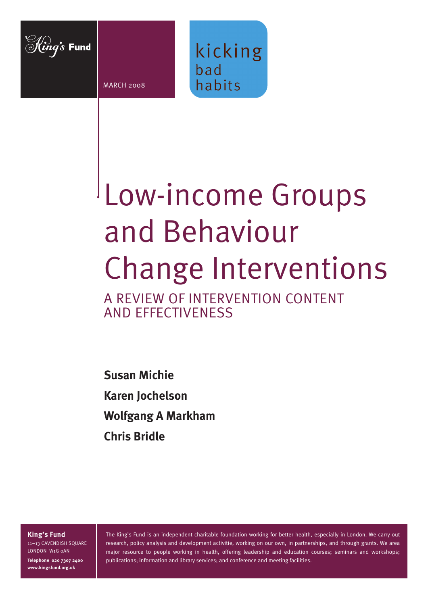

MARCH 2008



# Low-income Groups and Behaviour Change Interventions

A REVIEW OF INTERVENTION CONTENT AND EFFECTIVENESS

**Susan Michie Karen Jochelson Wolfgang A Markham Chris Bridle**

**King's Fund**

11–13 CAVENDISH SQUARE LONDON W1G 0AN **Telephone 020 7307 2400 www.kingsfund.org.uk**

The King's Fund is an independent charitable foundation working for better health, especially in London. We carry out research, policy analysis and development activitie, working on our own, in partnerships, and through grants. We area major resource to people working in health, offering leadership and education courses; seminars and workshops; publications; information and library services; and conference and meeting facilities.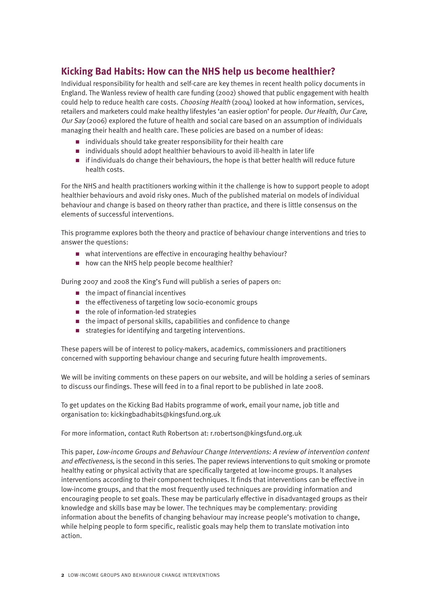# **Kicking Bad Habits: How can the NHS help us become healthier?**

Individual responsibility for health and self-care are key themes in recent health policy documents in England. The Wanless review of health care funding (2002) showed that public engagement with health could help to reduce health care costs. Choosing Health (2004) looked at how information, services, retailers and marketers could make healthy lifestyles 'an easier option' for people. Our Health, Our Care, Our Say (2006) explored the future of health and social care based on an assumption of individuals managing their health and health care. These policies are based on a number of ideas:

- n individuals should take greater responsibility for their health care
- individuals should adopt healthier behaviours to avoid ill-health in later life
- n if individuals do change their behaviours, the hope is that better health will reduce future health costs.

For the NHS and health practitioners working within it the challenge is how to support people to adopt healthier behaviours and avoid risky ones. Much of the published material on models of individual behaviour and change is based on theory rather than practice, and there is little consensus on the elements of successful interventions.

This programme explores both the theory and practice of behaviour change interventions and tries to answer the questions:

- $\blacksquare$  what interventions are effective in encouraging healthy behaviour?
- $n_{\text{new}}$  how can the NHS help people become healthier?

During 2007 and 2008 the King's Fund will publish a series of papers on:

- $\blacksquare$  the impact of financial incentives
- $\blacksquare$  the effectiveness of targeting low socio-economic groups
- $\blacksquare$  the role of information-led strategies
- $\blacksquare$  the impact of personal skills, capabilities and confidence to change
- $\blacksquare$  strategies for identifying and targeting interventions.

These papers will be of interest to policy-makers, academics, commissioners and practitioners concerned with supporting behaviour change and securing future health improvements.

We will be inviting comments on these papers on our website, and will be holding a series of seminars to discuss our findings. These will feed in to a final report to be published in late 2008.

To get updates on the Kicking Bad Habits programme of work, email your name, job title and organisation to: kickingbadhabits@kingsfund.org.uk

For more information, contact Ruth Robertson at: r.robertson@kingsfund.org.uk

This paper, Low-income Groups and Behaviour Change Interventions: A review of intervention content and effectiveness, is the second in this series. The paper reviews interventions to quit smoking or promote healthy eating or physical activity that are specifically targeted at low-income groups. It analyses interventions according to their component techniques. It finds that interventions can be effective in low-income groups, and that the most frequently used techniques are providing information and encouraging people to set goals. These may be particularly effective in disadvantaged groups as their knowledge and skills base may be lower. The techniques may be complementary: providing information about the benefits of changing behaviour may increase people's motivation to change, while helping people to form specific, realistic goals may help them to translate motivation into action.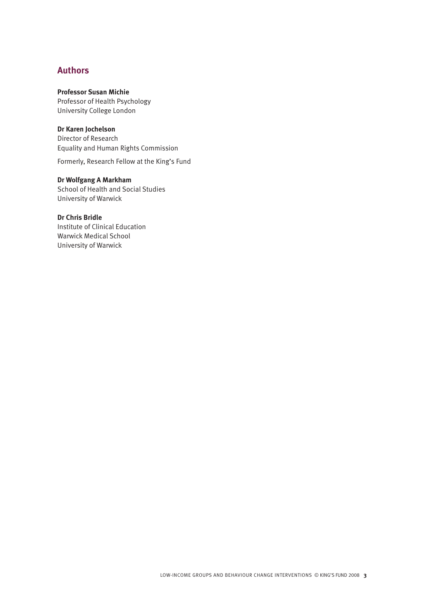# **Authors**

# **Professor Susan Michie**

Professor of Health Psychology University College London

# **Dr Karen Jochelson**

Director of Research Equality and Human Rights Commission

Formerly, Research Fellow at the King's Fund

# **Dr Wolfgang A Markham**

School of Health and Social Studies University of Warwick

# **Dr Chris Bridle**

Institute of Clinical Education Warwick Medical School University of Warwick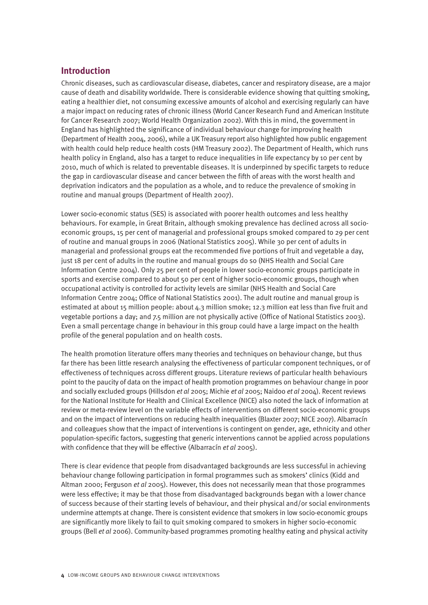# **Introduction**

Chronic diseases, such as cardiovascular disease, diabetes, cancer and respiratory disease, are a major cause of death and disability worldwide. There is considerable evidence showing that quitting smoking, eating a healthier diet, not consuming excessive amounts of alcohol and exercising regularly can have a major impact on reducing rates of chronic illness (World Cancer Research Fund and American Institute for Cancer Research 2007; World Health Organization 2002). With this in mind, the government in England has highlighted the significance of individual behaviour change for improving health (Department of Health 2004, 2006), while a UK Treasury report also highlighted how public engagement with health could help reduce health costs (HM Treasury 2002). The Department of Health, which runs health policy in England, also has a target to reduce inequalities in life expectancy by 10 per cent by 2010, much of which is related to preventable diseases. It is underpinned by specific targets to reduce the gap in cardiovascular disease and cancer between the fifth of areas with the worst health and deprivation indicators and the population as a whole, and to reduce the prevalence of smoking in routine and manual groups (Department of Health 2007).

Lower socio-economic status (SES) is associated with poorer health outcomes and less healthy behaviours. For example, in Great Britain, although smoking prevalence has declined across all socioeconomic groups, 15 per cent of managerial and professional groups smoked compared to 29 per cent of routine and manual groups in 2006 (National Statistics 2005). While 30 per cent of adults in managerial and professional groups eat the recommended five portions of fruit and vegetable a day, just 18 per cent of adults in the routine and manual groups do so (NHS Health and Social Care Information Centre 2004). Only 25 per cent of people in lower socio-economic groups participate in sports and exercise compared to about 50 per cent of higher socio-economic groups, though when occupational activity is controlled for activity levels are similar (NHS Health and Social Care Information Centre 2004; Office of National Statistics 2001). The adult routine and manual group is estimated at about 15 million people: about 4.3 million smoke; 12.3 million eat less than five fruit and vegetable portions a day; and 7.5 million are not physically active (Office of National Statistics 2003). Even a small percentage change in behaviour in this group could have a large impact on the health profile of the general population and on health costs.

The health promotion literature offers many theories and techniques on behaviour change, but thus far there has been little research analysing the effectiveness of particular component techniques, or of effectiveness of techniques across different groups. Literature reviews of particular health behaviours point to the paucity of data on the impact of health promotion programmes on behaviour change in poor and socially excluded groups (Hillsdon *et al* 2005; Michie *et al* 2005; Naidoo *et al* 2004). Recent reviews for the National Institute for Health and Clinical Excellence (NICE) also noted the lack of information at review or meta-review level on the variable effects of interventions on different socio-economic groups and on the impact of interventions on reducing health inequalities (Blaxter 2007; NICE 2007). Albarracín and colleagues show that the impact of interventions is contingent on gender, age, ethnicity and other population-specific factors, suggesting that generic interventions cannot be applied across populations with confidence that they will be effective (Albarracín *et al* 2005).

There is clear evidence that people from disadvantaged backgrounds are less successful in achieving behaviour change following participation in formal programmes such as smokers' clinics (Kidd and Altman 2000; Ferguson *et al* 2005). However, this does not necessarily mean that those programmes were less effective; it may be that those from disadvantaged backgrounds began with a lower chance of success because of their starting levels of behaviour, and their physical and/or social environments undermine attempts at change. There is consistent evidence that smokers in low socio-economic groups are significantly more likely to fail to quit smoking compared to smokers in higher socio-economic groups (Bell *et al* 2006). Community-based programmes promoting healthy eating and physical activity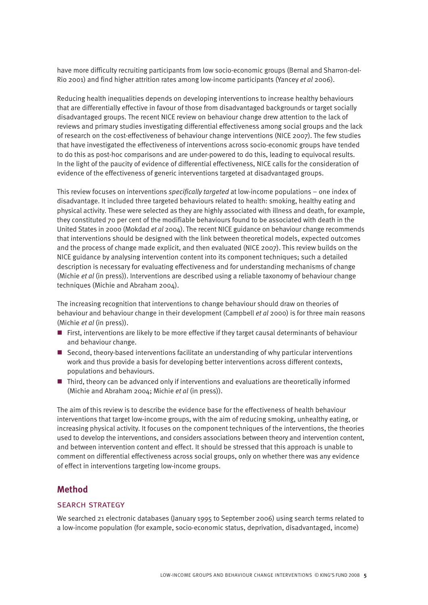have more difficulty recruiting participants from low socio-economic groups (Bernal and Sharron-del-Rio 2001) and find higher attrition rates among low-income participants (Yancey *et al* 2006).

Reducing health inequalities depends on developing interventions to increase healthy behaviours that are differentially effective in favour of those from disadvantaged backgrounds or target socially disadvantaged groups. The recent NICE review on behaviour change drew attention to the lack of reviews and primary studies investigating differential effectiveness among social groups and the lack of research on the cost-effectiveness of behaviour change interventions (NICE 2007). The few studies that have investigated the effectiveness of interventions across socio-economic groups have tended to do this as post-hoc comparisons and are under-powered to do this, leading to equivocal results. In the light of the paucity of evidence of differential effectiveness, NICE calls for the consideration of evidence of the effectiveness of generic interventions targeted at disadvantaged groups.

This review focuses on interventions *specifically targeted* at low-income populations – one index of disadvantage. It included three targeted behaviours related to health: smoking, healthy eating and physical activity. These were selected as they are highly associated with illness and death, for example, they constituted 70 per cent of the modifiable behaviours found to be associated with death in the United States in 2000 (Mokdad *et al* 2004). The recent NICE guidance on behaviour change recommends that interventions should be designed with the link between theoretical models, expected outcomes and the process of change made explicit, and then evaluated (NICE 2007). This review builds on the NICE guidance by analysing intervention content into its component techniques; such a detailed description is necessary for evaluating effectiveness and for understanding mechanisms of change (Michie *et al* (in press)). Interventions are described using a reliable taxonomy of behaviour change techniques (Michie and Abraham 2004).

The increasing recognition that interventions to change behaviour should draw on theories of behaviour and behaviour change in their development (Campbell *et al* 2000) is for three main reasons (Michie *et al* (in press)).

- First, interventions are likely to be more effective if they target causal determinants of behaviour and behaviour change.
- $\blacksquare$  Second, theory-based interventions facilitate an understanding of why particular interventions work and thus provide a basis for developing better interventions across different contexts, populations and behaviours.
- $\blacksquare$  Third, theory can be advanced only if interventions and evaluations are theoretically informed (Michie and Abraham 2004; Michie *et al* (in press)).

The aim of this review is to describe the evidence base for the effectiveness of health behaviour interventions that target low-income groups, with the aim of reducing smoking, unhealthy eating, or increasing physical activity. It focuses on the component techniques of the interventions, the theories used to develop the interventions, and considers associations between theory and intervention content, and between intervention content and effect. It should be stressed that this approach is unable to comment on differential effectiveness across social groups, only on whether there was any evidence of effect in interventions targeting low-income groups.

# **Method**

#### search strategy

We searched 21 electronic databases (January 1995 to September 2006) using search terms related to a low-income population (for example, socio-economic status, deprivation, disadvantaged, income)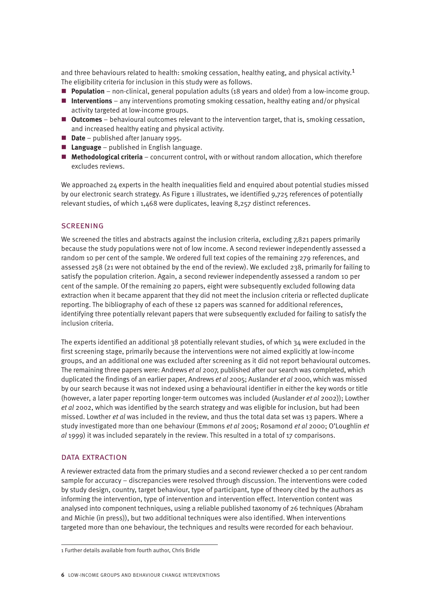and three behaviours related to health: smoking cessation, healthy eating, and physical activity.<sup>1</sup> The eligibility criteria for inclusion in this study were as follows.

- **Population** non-clinical, general population adults (18 years and older) from a low-income group.
- **Interventions** any interventions promoting smoking cessation, healthy eating and/or physical activity targeted at low-income groups.
- **Dutcomes** behavioural outcomes relevant to the intervention target, that is, smoking cessation, and increased healthy eating and physical activity.
- **Date** published after January 1995.
- **Language** published in English language.
- **n** Methodological criteria concurrent control, with or without random allocation, which therefore excludes reviews.

We approached 24 experts in the health inequalities field and enquired about potential studies missed by our electronic search strategy. As Figure 1 illustrates, we identified 9,725 references of potentially relevant studies, of which 1,468 were duplicates, leaving 8,257 distinct references.

## **SCREENING**

We screened the titles and abstracts against the inclusion criteria, excluding 7,821 papers primarily because the study populations were not of low income. A second reviewer independently assessed a random 10 per cent of the sample. We ordered full text copies of the remaining 279 references, and assessed 258 (21 were not obtained by the end of the review). We excluded 238, primarily for failing to satisfy the population criterion. Again, a second reviewer independently assessed a random 10 per cent of the sample. Of the remaining 20 papers, eight were subsequently excluded following data extraction when it became apparent that they did not meet the inclusion criteria or reflected duplicate reporting. The bibliography of each of these 12 papers was scanned for additional references, identifying three potentially relevant papers that were subsequently excluded for failing to satisfy the inclusion criteria.

The experts identified an additional 38 potentially relevant studies, of which 34 were excluded in the first screening stage, primarily because the interventions were not aimed explicitly at low-income groups, and an additional one was excluded after screening as it did not report behavioural outcomes. The remaining three papers were: Andrews *et al* 2007, published after our search was completed, which duplicated the findings of an earlier paper, Andrews *et al* 2005; Auslander *et al* 2000, which was missed by our search because it was not indexed using a behavioural identifier in either the key words or title (however, a later paper reporting longer-term outcomes was included (Auslander *et al* 2002)); Lowther *et al* 2002, which was identified by the search strategy and was eligible for inclusion, but had been missed. Lowther *et al* was included in the review, and thus the total data set was 13 papers. Where a study investigated more than one behaviour (Emmons *et al* 2005; Rosamond *et al* 2000; O'Loughlin *et al* 1999) it was included separately in the review. This resulted in a total of 17 comparisons.

#### data extraction

A reviewer extracted data from the primary studies and a second reviewer checked a 10 per cent random sample for accuracy – discrepancies were resolved through discussion. The interventions were coded by study design, country, target behaviour, type of participant, type of theory cited by the authors as informing the intervention, type of intervention and intervention effect. Intervention content was analysed into component techniques, using a reliable published taxonomy of 26 techniques (Abraham and Michie (in press)), but two additional techniques were also identified. When interventions targeted more than one behaviour, the techniques and results were recorded for each behaviour.

<sup>1</sup> Further details available from fourth author, Chris Bridle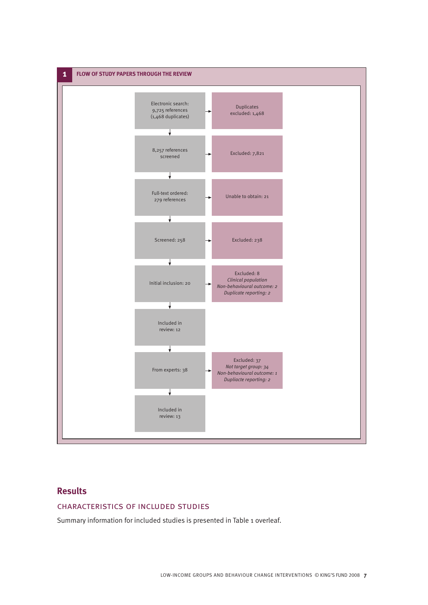

# **Results**

# characteristics of included studies

Summary information for included studies is presented in Table 1 overleaf.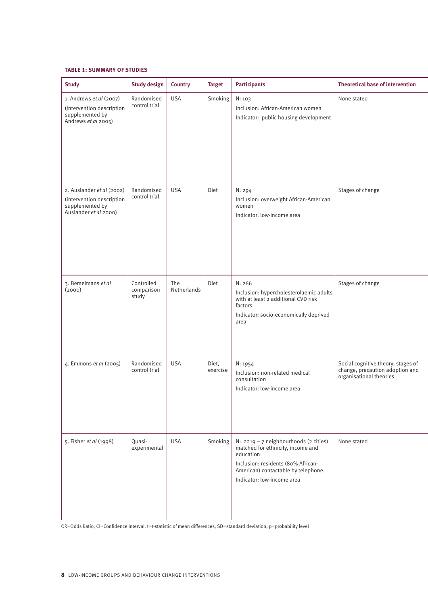#### **TABLE 1: SUMMARY OF STUDIES**

| <b>Study</b>                                                                                       | <b>Study design</b>               | <b>Country</b>     | <b>Target</b>     | <b>Participants</b>                                                                                                                                                                                | <b>Theoretical base of intervention</b>                                                          |
|----------------------------------------------------------------------------------------------------|-----------------------------------|--------------------|-------------------|----------------------------------------------------------------------------------------------------------------------------------------------------------------------------------------------------|--------------------------------------------------------------------------------------------------|
| 1. Andrews et al (2007)<br>(intervention description<br>supplemented by<br>Andrews et al 2005)     | Randomised<br>control trial       | <b>USA</b>         | Smoking           | N: 103<br>Inclusion: African-American women<br>Indicator: public housing development                                                                                                               | None stated                                                                                      |
| 2. Auslander et al (2002)<br>(intervention description<br>supplemented by<br>Auslander et al 2000) | Randomised<br>control trial       | <b>USA</b>         | Diet              | N: 294<br>Inclusion: overweight African-American<br>women<br>Indicator: low-income area                                                                                                            | Stages of change                                                                                 |
| 3. Bemelmans et al<br>(2000)                                                                       | Controlled<br>comparison<br>study | The<br>Netherlands | Diet              | N: 266<br>Inclusion: hypercholesterolaemic adults<br>with at least 2 additional CVD risk<br>factors<br>Indicator: socio-economically deprived<br>area                                              | Stages of change                                                                                 |
| 4. Emmons et al (2005)                                                                             | Randomised<br>control trial       | <b>USA</b>         | Diet,<br>exercise | N: 1954<br>Inclusion: non-related medical<br>consultation<br>Indicator: low-income area                                                                                                            | Social cognitive theory, stages of<br>change, precaution adoption and<br>organisational theories |
| 5. Fisher et al (1998)                                                                             | Quasi-<br>experimental            | <b>USA</b>         | Smoking           | N: 2219 - 7 neighbourhoods (2 cities)<br>matched for ethnicity, income and<br>education<br>Inclusion: residents (80% African-<br>American) contactable by telephone.<br>Indicator: low-income area | None stated                                                                                      |

OR=Odds Ratio, CI=Confidence Interval, t=t-statistic of mean differences, SD=standard deviation, p=probability level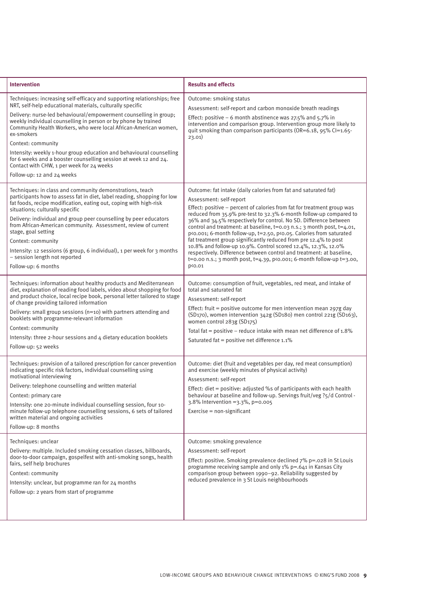| <b>Intervention</b>                                                                                                                                                                                                                                                                                                                                                                                                                                                                                                                                                                                        | <b>Results and effects</b>                                                                                                                                                                                                                                                                                                                                                                                                                                                                                                                                                                                                                                                                                                                                        |
|------------------------------------------------------------------------------------------------------------------------------------------------------------------------------------------------------------------------------------------------------------------------------------------------------------------------------------------------------------------------------------------------------------------------------------------------------------------------------------------------------------------------------------------------------------------------------------------------------------|-------------------------------------------------------------------------------------------------------------------------------------------------------------------------------------------------------------------------------------------------------------------------------------------------------------------------------------------------------------------------------------------------------------------------------------------------------------------------------------------------------------------------------------------------------------------------------------------------------------------------------------------------------------------------------------------------------------------------------------------------------------------|
| Techniques: increasing self-efficacy and supporting relationships; free<br>NRT, self-help educational materials, culturally specific<br>Delivery: nurse-led behavioural/empowerment counselling in group;<br>weekly individual counselling in person or by phone by trained<br>Community Health Workers, who were local African-American women,<br>ex-smokers<br>Context: community<br>Intensity: weekly 1-hour group education and behavioural counselling<br>for 6 weeks and a booster counselling session at week 12 and 24.<br>Contact with CHW, 1 per week for 24 weeks<br>Follow-up: 12 and 24 weeks | Outcome: smoking status<br>Assessment: self-report and carbon monoxide breath readings<br>Effect: positive $-6$ month abstinence was 27.5% and 5.7% in<br>intervention and comparison group. Intervention group more likely to<br>quit smoking than comparison participants (OR=6.18, 95% CI=1.65-<br>23.01)                                                                                                                                                                                                                                                                                                                                                                                                                                                      |
| Techniques: in class and community demonstrations, teach<br>participants how to assess fat in diet, label reading, shopping for low<br>fat foods, recipe modification, eating out, coping with high-risk<br>situations; culturally specific<br>Delivery: individual and group peer counselling by peer educators<br>from African-American community. Assessment, review of current<br>stage, goal setting<br>Context: community<br>Intensity: 12 sessions (6 group, 6 individual), 1 per week for 3 months<br>- session length not reported<br>Follow-up: 6 months                                         | Outcome: fat intake (daily calories from fat and saturated fat)<br>Assessment: self-report<br>Effect: positive – percent of calories from fat for treatment group was<br>reduced from 35.9% pre-test to 32.3% 6-month follow-up compared to<br>36% and 34.5% respectively for control. No SD. Difference between<br>control and treatment: at baseline, t=0.03 n.s.; 3 month post, t=4.01,<br>p<0.001; 6-month follow-up, t=2.50, p<0.05. Calories from saturated<br>fat treatment group significantly reduced from pre 12.4% to post<br>10.8% and follow-up 10.9%. Control scored 12.4%, 12.3%, 12.0%<br>respectively. Difference between control and treatment: at baseline,<br>t=0.00 n.s.; 3 month post, t=4.39, p<0.001; 6-month follow-up t=3.00,<br>p<0.01 |
| Techniques: information about healthy products and Mediterranean<br>diet, explanation of reading food labels, video about shopping for food<br>and product choice, local recipe book, personal letter tailored to stage<br>of change providing tailored information<br>Delivery: small group sessions (n=10) with partners attending and<br>booklets with programme-relevant information<br>Context: community<br>Intensity: three 2-hour sessions and 4 dietary education booklets<br>Follow-up: 52 weeks                                                                                                 | Outcome: consumption of fruit, vegetables, red meat, and intake of<br>total and saturated fat<br>Assessment: self-report<br>Effect: fruit = positive outcome for men intervention mean 297g day<br>(SD170), women intervention 342g (SD180) men control 221g (SD163),<br>women control 283g (SD175)<br>Total fat = positive - reduce intake with mean net difference of $1.8\%$<br>Saturated fat = positive net difference 1.1%                                                                                                                                                                                                                                                                                                                                   |
| Techniques: provision of a tailored prescription for cancer prevention<br>indicating specific risk factors, individual counselling using<br>motivational interviewing<br>Delivery: telephone counselling and written material<br>Context: primary care<br>Intensity: one 20-minute individual counselling session, four 10-<br>minute follow-up telephone counselling sessions, 6 sets of tailored<br>written material and ongoing activities<br>Follow-up: 8 months                                                                                                                                       | Outcome: diet (fruit and vegetables per day, red meat consumption)<br>and exercise (weekly minutes of physical activity)<br>Assessment: self-report<br>Effect: diet = positive: adjusted %s of participants with each health<br>behaviour at baseline and follow-up. Servings fruit/veg ?5/d Control -<br>3.8% Intervention = 3.3%, p=0.005<br>Exercise = non-significant                                                                                                                                                                                                                                                                                                                                                                                         |
| Techniques: unclear<br>Delivery: multiple. Included smoking cessation classes, billboards,<br>door-to-door campaign, gospelfest with anti-smoking songs, health<br>fairs, self help brochures<br>Context: community<br>Intensity: unclear, but programme ran for 24 months<br>Follow-up: 2 years from start of programme                                                                                                                                                                                                                                                                                   | Outcome: smoking prevalence<br>Assessment: self-report<br>Effect: positive. Smoking prevalence declined 7% p=.028 in St Louis<br>programme receiving sample and only 1% p=.641 in Kansas City<br>comparison group between 1990-92. Reliability suggested by<br>reduced prevalence in 3 St Louis neighbourhoods                                                                                                                                                                                                                                                                                                                                                                                                                                                    |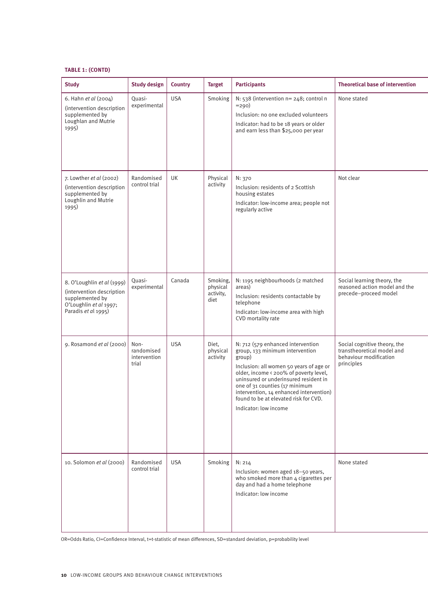## **TABLE 1: (CONTD)**

| <b>Study</b>                                                                                                                | <b>Study design</b>                         | <b>Country</b> | <b>Target</b>                             | <b>Participants</b>                                                                                                                                                                                                                                                                                                                                         | <b>Theoretical base of intervention</b>                                                            |
|-----------------------------------------------------------------------------------------------------------------------------|---------------------------------------------|----------------|-------------------------------------------|-------------------------------------------------------------------------------------------------------------------------------------------------------------------------------------------------------------------------------------------------------------------------------------------------------------------------------------------------------------|----------------------------------------------------------------------------------------------------|
| 6. Hahn et al (2004)<br>(intervention description<br>supplemented by<br>Loughlan and Mutrie<br>1995)                        | Quasi-<br>experimental                      | <b>USA</b>     | Smoking                                   | N: 538 (intervention n= 248; control n<br>$= 290$<br>Inclusion: no one excluded volunteers<br>Indicator: had to be 18 years or older<br>and earn less than \$25,000 per year                                                                                                                                                                                | None stated                                                                                        |
| 7. Lowther et al (2002)<br>(intervention description<br>supplemented by<br>Loughlin and Mutrie<br>1995)                     | Randomised<br>control trial                 | UK             | Physical<br>activity                      | N: 370<br>Inclusion: residents of 2 Scottish<br>housing estates<br>Indicator: low-income area; people not<br>regularly active                                                                                                                                                                                                                               | Not clear                                                                                          |
| 8. O'Loughlin et al (1999)<br>(intervention description<br>supplemented by<br>O'Loughlin et al 1997;<br>Paradis et al 1995) | Quasi-<br>experimental                      | Canada         | Smoking,<br>physical<br>activity,<br>diet | N: 1195 neighbourhoods (2 matched<br>areas)<br>Inclusion: residents contactable by<br>telephone<br>Indicator: low-income area with high<br>CVD mortality rate                                                                                                                                                                                               | Social learning theory, the<br>reasoned action model and the<br>precede-proceed model              |
| 9. Rosamond et al (2000)                                                                                                    | Non-<br>randomised<br>intervention<br>trial | <b>USA</b>     | Diet,<br>physical<br>activity             | N: 712 (579 enhanced intervention<br>group, 133 minimum intervention<br>group)<br>Inclusion: all women 50 years of age or<br>older, income < 200% of poverty level,<br>uninsured or underinsured resident in<br>one of 31 counties (17 minimum<br>intervention, 14 enhanced intervention)<br>found to be at elevated risk for CVD.<br>Indicator: low income | Social cognitive theory, the<br>transtheoretical model and<br>behaviour modification<br>principles |
| 10. Solomon et al (2000)                                                                                                    | Randomised<br>control trial                 | <b>USA</b>     | Smoking                                   | N: 214<br>Inclusion: women aged 18-50 years,<br>who smoked more than 4 cigarettes per<br>day and had a home telephone<br>Indicator: low income                                                                                                                                                                                                              | None stated                                                                                        |

OR=Odds Ratio, CI=Confidence Interval, t=t-statistic of mean differences, SD=standard deviation, p=probability level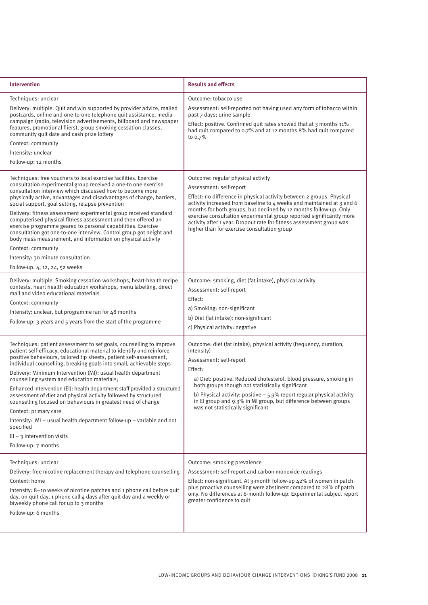| <b>Intervention</b>                                                                                                                                                                                                                                                                                                                                                                                                                                                                                                                                                                                                                                                                                                                                                                           | <b>Results and effects</b>                                                                                                                                                                                                                                                                                                                                                                                                                                                          |
|-----------------------------------------------------------------------------------------------------------------------------------------------------------------------------------------------------------------------------------------------------------------------------------------------------------------------------------------------------------------------------------------------------------------------------------------------------------------------------------------------------------------------------------------------------------------------------------------------------------------------------------------------------------------------------------------------------------------------------------------------------------------------------------------------|-------------------------------------------------------------------------------------------------------------------------------------------------------------------------------------------------------------------------------------------------------------------------------------------------------------------------------------------------------------------------------------------------------------------------------------------------------------------------------------|
| Techniques: unclear<br>Delivery: multiple. Quit and win supported by provider advice, mailed<br>postcards, online and one-to-one telephone quit assistance, media<br>campaign (radio, television advertisements, billboard and newspaper<br>features, promotional fliers), group smoking cessation classes,<br>community quit date and cash prize lottery<br>Context: community<br>Intensity: unclear<br>Follow-up: 12 months                                                                                                                                                                                                                                                                                                                                                                 | Outcome: tobacco use<br>Assessment: self-reported not having used any form of tobacco within<br>past 7 days; urine sample<br>Effect: positive. Confirmed quit rates showed that at 3 months 11%<br>had quit compared to 0.7% and at 12 months 8% had quit compared<br>to 0.7%                                                                                                                                                                                                       |
| Techniques: free vouchers to local exercise facilities. Exercise<br>consultation experimental group received a one-to one exercise<br>consultation interview which discussed how to become more<br>physically active, advantages and disadvantages of change, barriers,<br>social support, goal setting, relapse prevention<br>Delivery: fitness assessment experimental group received standard<br>computerised physical fitness assessment and then offered an<br>exercise programme geared to personal capabilities. Exercise<br>consultation got one-to-one interview. Control group got height and<br>body mass measurement, and information on physical activity<br>Context: community<br>Intensity: 30 minute consultation<br>Follow-up: 4, 12, 24, 52 weeks                           | Outcome: regular physical activity<br>Assessment: self-report<br>Effect: no difference in physical activity between 2 groups. Physical<br>activity increased from baseline to 4 weeks and maintained at 3 and 6<br>months for both groups, but declined by 12 months follow-up. Only<br>exercise consultation experimental group reported significantly more<br>activity after 1 year. Dropout rate for fitness assessment group was<br>higher than for exercise consultation group |
| Delivery: multiple. Smoking cessation workshops, heart-health recipe<br>contests, heart health education workshops, menu labelling, direct<br>mail and video educational materials<br>Context: community<br>Intensity: unclear, but programme ran for 48 months<br>Follow-up: 3 years and 5 years from the start of the programme                                                                                                                                                                                                                                                                                                                                                                                                                                                             | Outcome: smoking, diet (fat intake), physical activity<br>Assessment: self-report<br>Effect:<br>a) Smoking: non-significant<br>b) Diet (fat intake): non-significant<br>c) Physical activity: negative                                                                                                                                                                                                                                                                              |
| Techniques: patient assessment to set goals, counselling to improve<br>patient self-efficacy, educational material to identify and reinforce<br>positive behaviours, tailored tip sheets, patient self-assessment,<br>individual counselling, breaking goals into small, achievable steps<br>Delivery: Minimum Intervention (MI): usual health department<br>counselling system and education materials;<br>Enhanced Intervention (EI): health department staff provided a structured<br>assessment of diet and physical activity followed by structured<br>counselling focused on behaviours in greatest need of change<br>Context: primary care<br>Intensity: MI - usual health department follow-up - variable and not<br>specified<br>$EI - 3$ intervention visits<br>Follow-up: 7 months | Outcome: diet (fat intake), physical activity (frequency, duration,<br>intensity)<br>Assessment: self-report<br>Effect:<br>a) Diet: positive. Reduced cholesterol, blood pressure, smoking in<br>both groups though not statistically significant<br>b) Physical activity: positive $-5.9\%$ report regular physical activity<br>in El group and 9.3% in MI group, but difference between groups<br>was not statistically significant                                               |
| Techniques: unclear<br>Delivery: free nicotine replacement therapy and telephone counselling<br>Context: home<br>Intensity: 8-10 weeks of nicotine patches and 1 phone call before quit<br>day, on quit day, 1 phone call 4 days after quit day and a weekly or<br>biweekly phone call for up to 3 months<br>Follow-up: 6 months                                                                                                                                                                                                                                                                                                                                                                                                                                                              | Outcome: smoking prevalence<br>Assessment: self-report and carbon monoxide readings<br>Effect: non-significant. At 3-month follow-up 42% of women in patch<br>plus proactive counselling were abstinent compared to 28% of patch<br>only. No differences at 6-month follow-up. Experimental subject report<br>greater confidence to quit                                                                                                                                            |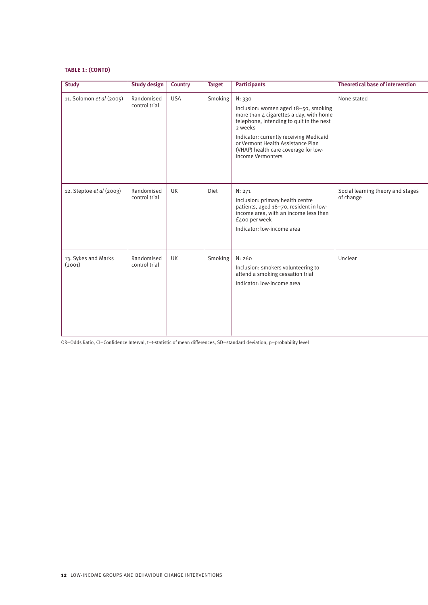## **TABLE 1: (CONTD)**

| <b>Study</b>                  | <b>Study design</b>         | <b>Country</b> | <b>Target</b> | <b>Participants</b>                                                                                                                                                                                                                                                                           | <b>Theoretical base of intervention</b>        |
|-------------------------------|-----------------------------|----------------|---------------|-----------------------------------------------------------------------------------------------------------------------------------------------------------------------------------------------------------------------------------------------------------------------------------------------|------------------------------------------------|
| 11. Solomon et al (2005)      | Randomised<br>control trial | <b>USA</b>     | Smoking       | N: 330<br>Inclusion: women aged 18-50, smoking<br>more than 4 cigarettes a day, with home<br>telephone, intending to quit in the next<br>2 weeks<br>Indicator: currently receiving Medicaid<br>or Vermont Health Assistance Plan<br>(VHAP) health care coverage for low-<br>income Vermonters | None stated                                    |
| 12. Steptoe et al (2003)      | Randomised<br>control trial | <b>UK</b>      | Diet          | N: 271<br>Inclusion: primary health centre<br>patients, aged 18-70, resident in low-<br>income area, with an income less than<br>£400 per week<br>Indicator: low-income area                                                                                                                  | Social learning theory and stages<br>of change |
| 13. Sykes and Marks<br>(2001) | Randomised<br>control trial | <b>UK</b>      | Smoking       | N: 260<br>Inclusion: smokers volunteering to<br>attend a smoking cessation trial<br>Indicator: low-income area                                                                                                                                                                                | Unclear                                        |

OR=Odds Ratio, CI=Confidence Interval, t=t-statistic of mean differences, SD=standard deviation, p=probability level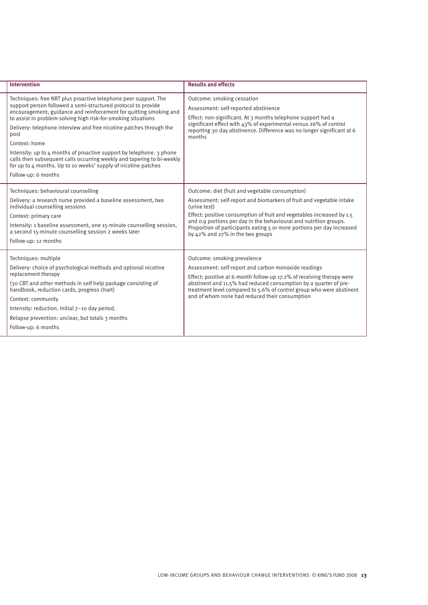| <b>Intervention</b>                                                                                                                                                                                                                                                                                                                                                                                                                                                                                                                                                                                                    | <b>Results and effects</b>                                                                                                                                                                                                                                                                                                                                                                          |
|------------------------------------------------------------------------------------------------------------------------------------------------------------------------------------------------------------------------------------------------------------------------------------------------------------------------------------------------------------------------------------------------------------------------------------------------------------------------------------------------------------------------------------------------------------------------------------------------------------------------|-----------------------------------------------------------------------------------------------------------------------------------------------------------------------------------------------------------------------------------------------------------------------------------------------------------------------------------------------------------------------------------------------------|
| Techniques: free NRT plus proactive telephone peer support. The<br>support person followed a semi-structured protocol to provide<br>encouragement, guidance and reinforcement for quitting smoking and<br>to assist in problem-solving high risk-for-smoking situations<br>Delivery: telephone interview and free nicotine patches through the<br>post<br>Context: home<br>Intensity: up to $\mu$ months of proactive support by telephone. 3 phone<br>calls then subsequent calls occurring weekly and tapering to bi-weekly<br>for up to 4 months. Up to 10 weeks' supply of nicotine patches<br>Follow-up: 6 months | Outcome: smoking cessation<br>Assessment: self-reported abstinence<br>Effect: non-significant. At 3 months telephone support had a<br>significant effect with 43% of experimental versus 26% of control<br>reporting 30 day abstinence. Difference was no longer significant at 6<br>months                                                                                                         |
| Techniques: behavioural counselling<br>Delivery: a research nurse provided a baseline assessment, two<br>individual counselling sessions<br>Context: primary care<br>Intensity: 1 baseline assessment, one 15-minute counselling session,<br>a second 15-minute counselling session 2 weeks later<br>Follow-up: 12 months                                                                                                                                                                                                                                                                                              | Outcome: diet (fruit and vegetable consumption)<br>Assessment: self-report and biomarkers of fruit and vegetable intake<br>(urine test)<br>Effect: positive consumption of fruit and vegetables increased by 1.5<br>and 0.9 portions per day in the behavioural and nutrition groups.<br>Proportion of participants eating 5 or more portions per day increased<br>by 42% and 27% in the two groups |
| Techniques: multiple<br>Delivery: choice of psychological methods and optional nicotine<br>replacement therapy<br>(30 CBT and other methods in self help package consisting of<br>handbook, reduction cards, progress chart)<br>Context: community<br>Intensity: reduction. Initial 7-10 day period.<br>Relapse prevention: unclear, but totals 3 months<br>Follow-up: 6 months                                                                                                                                                                                                                                        | Outcome: smoking prevalence<br>Assessment: self-report and carbon monoxide readings<br>Effect: positive at 6-month follow-up 17.2% of receiving therapy were<br>abstinent and 11.5% had reduced consumption by a quarter of pre-<br>treatment level compared to 5.6% of control group who were abstinent<br>and of whom none had reduced their consumption                                          |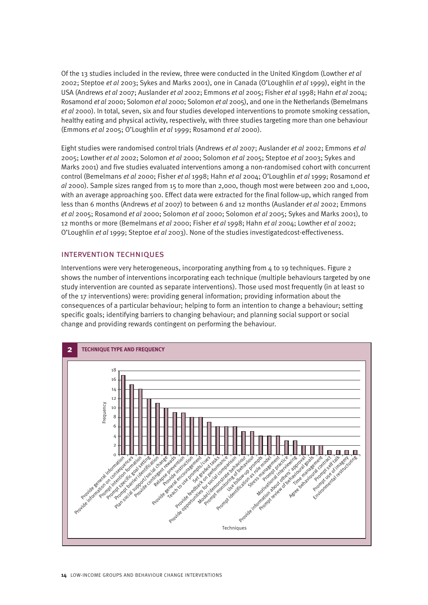Of the 13 studies included in the review, three were conducted in the United Kingdom (Lowther *et al* 2002; Steptoe *et al* 2003; Sykes and Marks 2001), one in Canada (O'Loughlin *et al* 1999), eight in the USA (Andrews *et al* 2007; Auslander *et al* 2002; Emmons *et al* 2005; Fisher *et al* 1998; Hahn *et al* 2004; Rosamond *et al* 2000; Solomon *et al* 2000; Solomon *et al* 2005), and one in the Netherlands (Bemelmans *et al* 2000). In total, seven, six and four studies developed interventions to promote smoking cessation, healthy eating and physical activity, respectively, with three studies targeting more than one behaviour (Emmons *et al* 2005; O'Loughlin *et al* 1999; Rosamond *et al* 2000).

Eight studies were randomised control trials (Andrews *et al* 2007; Auslander *et al* 2002; Emmons *et al* 2005; Lowther *et al* 2002; Solomon *et al* 2000; Solomon *et al* 2005; Steptoe *et al* 2003; Sykes and Marks 2001) and five studies evaluated interventions among a non-randomised cohort with concurrent control (Bemelmans *et al* 2000; Fisher *et al* 1998; Hahn *et al* 2004; O'Loughlin *et al* 1999; Rosamond *et al* 2000). Sample sizes ranged from 15 to more than 2,000, though most were between 200 and 1,000, with an average approaching 500. Effect data were extracted for the final follow-up, which ranged from less than 6 months (Andrews *et al* 2007) to between 6 and 12 months (Auslander *et al* 2002; Emmons *et al* 2005; Rosamond *et al* 2000; Solomon *et al* 2000; Solomon *et al* 2005; Sykes and Marks 2001), to 12 months or more (Bemelmans *et al* 2000; Fisher *et al* 1998; Hahn *et al* 2004; Lowther *et al* 2002; O'Loughlin *et al* 1999; Steptoe *et al* 2003). None of the studies investigatedcost-effectiveness.

# intervention techniques

Interventions were very heterogeneous, incorporating anything from  $\Delta$  to 19 techniques. Figure 2 shows the number of interventions incorporating each technique (multiple behaviours targeted by one study intervention are counted as separate interventions). Those used most frequently (in at least 10 of the 17 interventions) were: providing general information; providing information about the consequences of a particular behaviour; helping to form an intention to change a behaviour; setting specific goals; identifying barriers to changing behaviour; and planning social support or social change and providing rewards contingent on performing the behaviour.

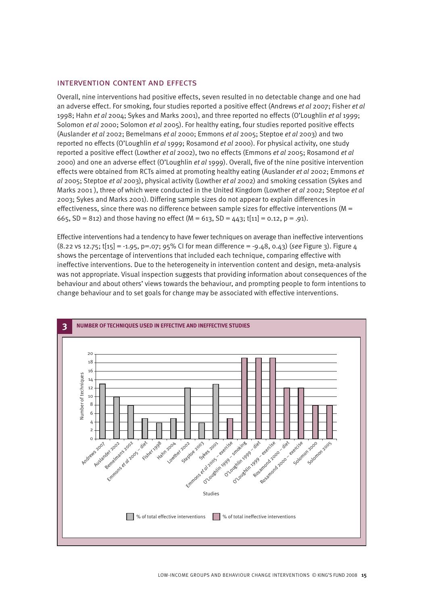# intervention content and effects

Overall, nine interventions had positive effects, seven resulted in no detectable change and one had an adverse effect. For smoking, four studies reported a positive effect (Andrews *et al* 2007; Fisher *et al* 1998; Hahn *et al* 2004; Sykes and Marks 2001), and three reported no effects (O'Loughlin *et al* 1999; Solomon *et al* 2000; Solomon *et al* 2005). For healthy eating, four studies reported positive effects (Auslander *et al* 2002; Bemelmans *et al* 2000; Emmons *et al* 2005; Steptoe *et al* 2003) and two reported no effects (O'Loughlin *et al* 1999; Rosamond *et al* 2000). For physical activity, one study reported a positive effect (Lowther *et al* 2002), two no effects (Emmons *et al* 2005; Rosamond *et al* 2000) and one an adverse effect (O'Loughlin *et al* 1999). Overall, five of the nine positive intervention effects were obtained from RCTs aimed at promoting healthy eating (Auslander *et al* 2002; Emmons *et al* 2005; Steptoe *et al* 2003), physical activity (Lowther *et al* 2002) and smoking cessation (Sykes and Marks 2001 ), three of which were conducted in the United Kingdom (Lowther *et al* 2002; Steptoe *et al* 2003; Sykes and Marks 2001). Differing sample sizes do not appear to explain differences in effectiveness, since there was no difference between sample sizes for effective interventions  $(M =$ 665, SD = 812) and those having no effect ( $M = 613$ , SD = 443; t[11] = 0.12, p = .91).

Effective interventions had a tendency to have fewer techniques on average than ineffective interventions (8.22 vs 12.75; t[15] = -1.95, p=.07; 95% CI for mean difference = -9.48, 0.43) (*see* Figure 3). Figure 4 shows the percentage of interventions that included each technique, comparing effective with ineffective interventions. Due to the heterogeneity in intervention content and design, meta-analysis was not appropriate. Visual inspection suggests that providing information about consequences of the behaviour and about others' views towards the behaviour, and prompting people to form intentions to change behaviour and to set goals for change may be associated with effective interventions.

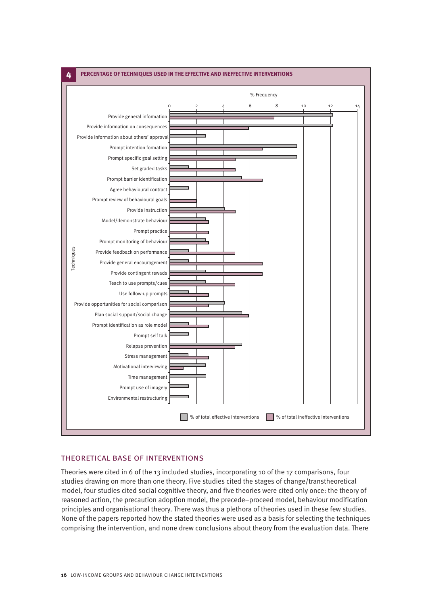

# theoretical base of interventions

Theories were cited in 6 of the 13 included studies, incorporating 10 of the 17 comparisons, four studies drawing on more than one theory. Five studies cited the stages of change/transtheoretical model, four studies cited social cognitive theory, and five theories were cited only once: the theory of reasoned action, the precaution adoption model, the precede–proceed model, behaviour modification principles and organisational theory. There was thus a plethora of theories used in these few studies. None of the papers reported how the stated theories were used as a basis for selecting the techniques comprising the intervention, and none drew conclusions about theory from the evaluation data. There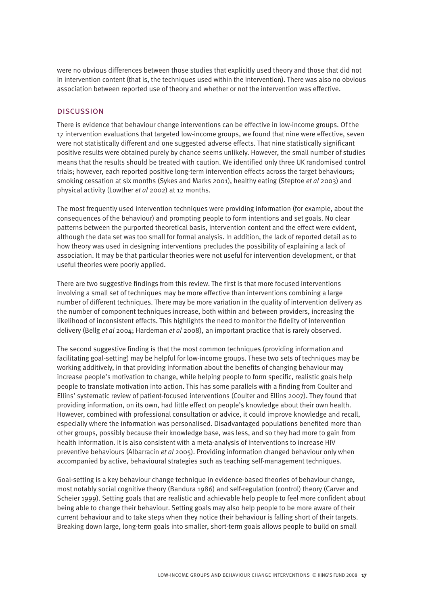were no obvious differences between those studies that explicitly used theory and those that did not in intervention content (that is, the techniques used within the intervention). There was also no obvious association between reported use of theory and whether or not the intervention was effective.

#### **DISCUSSION**

There is evidence that behaviour change interventions can be effective in low-income groups. Of the 17 intervention evaluations that targeted low-income groups, we found that nine were effective, seven were not statistically different and one suggested adverse effects. That nine statistically significant positive results were obtained purely by chance seems unlikely. However, the small number of studies means that the results should be treated with caution. We identified only three UK randomised control trials; however, each reported positive long-term intervention effects across the target behaviours; smoking cessation at six months (Sykes and Marks 2001), healthy eating (Steptoe *et al* 2003) and physical activity (Lowther *et al* 2002) at 12 months.

The most frequently used intervention techniques were providing information (for example, about the consequences of the behaviour) and prompting people to form intentions and set goals. No clear patterns between the purported theoretical basis, intervention content and the effect were evident, although the data set was too small for formal analysis. In addition, the lack of reported detail as to how theory was used in designing interventions precludes the possibility of explaining a lack of association. It may be that particular theories were not useful for intervention development, or that useful theories were poorly applied.

There are two suggestive findings from this review. The first is that more focused interventions involving a small set of techniques may be more effective than interventions combining a large number of different techniques. There may be more variation in the quality of intervention delivery as the number of component techniques increase, both within and between providers, increasing the likelihood of inconsistent effects. This highlights the need to monitor the fidelity of intervention delivery (Bellg *et al* 2004; Hardeman *et al* 2008), an important practice that is rarely observed.

The second suggestive finding is that the most common techniques (providing information and facilitating goal-setting) may be helpful for low-income groups. These two sets of techniques may be working additively, in that providing information about the benefits of changing behaviour may increase people's motivation to change, while helping people to form specific, realistic goals help people to translate motivation into action. This has some parallels with a finding from Coulter and Ellins' systematic review of patient-focused interventions (Coulter and Ellins 2007). They found that providing information, on its own, had little effect on people's knowledge about their own health. However, combined with professional consultation or advice, it could improve knowledge and recall, especially where the information was personalised. Disadvantaged populations benefited more than other groups, possibly because their knowledge base, was less, and so they had more to gain from health information. It is also consistent with a meta-analysis of interventions to increase HIV preventive behaviours (Albarracin *et al* 2005). Providing information changed behaviour only when accompanied by active, behavioural strategies such as teaching self-management techniques.

Goal-setting is a key behaviour change technique in evidence-based theories of behaviour change, most notably social cognitive theory (Bandura 1986) and self-regulation (control) theory (Carver and Scheier 1999). Setting goals that are realistic and achievable help people to feel more confident about being able to change their behaviour. Setting goals may also help people to be more aware of their current behaviour and to take steps when they notice their behaviour is falling short of their targets. Breaking down large, long-term goals into smaller, short-term goals allows people to build on small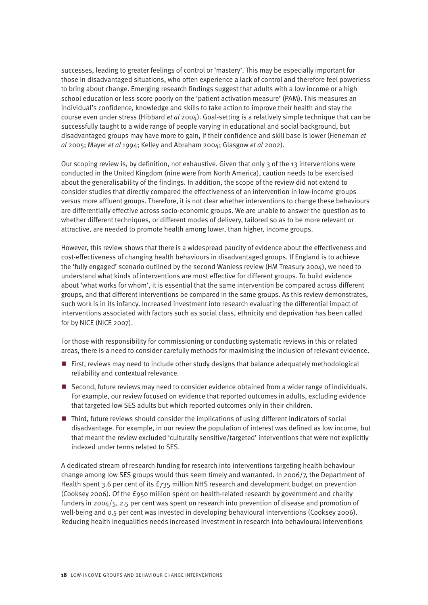successes, leading to greater feelings of control or 'mastery'. This may be especially important for those in disadvantaged situations, who often experience a lack of control and therefore feel powerless to bring about change. Emerging research findings suggest that adults with a low income or a high school education or less score poorly on the 'patient activation measure' (PAM). This measures an individual's confidence, knowledge and skills to take action to improve their health and stay the course even under stress (Hibbard *et al* 2004). Goal-setting is a relatively simple technique that can be successfully taught to a wide range of people varying in educational and social background, but disadvantaged groups may have more to gain, if their confidence and skill base is lower (Heneman *et al* 2005; Mayer *et al* 1994; Kelley and Abraham 2004; Glasgow *et al* 2002).

Our scoping review is, by definition, not exhaustive. Given that only  $3$  of the 13 interventions were conducted in the United Kingdom (nine were from North America), caution needs to be exercised about the generalisability of the findings. In addition, the scope of the review did not extend to consider studies that directly compared the effectiveness of an intervention in low-income groups versus more affluent groups. Therefore, it is not clear whether interventions to change these behaviours are differentially effective across socio-economic groups. We are unable to answer the question as to whether different techniques, or different modes of delivery, tailored so as to be more relevant or attractive, are needed to promote health among lower, than higher, income groups.

However, this review shows that there is a widespread paucity of evidence about the effectiveness and cost-effectiveness of changing health behaviours in disadvantaged groups. If England is to achieve the 'fully engaged' scenario outlined by the second Wanless review (HM Treasury 2004), we need to understand what kinds of interventions are most effective for different groups. To build evidence about 'what works for whom', it is essential that the same intervention be compared across different groups, and that different interventions be compared in the same groups. As this review demonstrates, such work is in its infancy. Increased investment into research evaluating the differential impact of interventions associated with factors such as social class, ethnicity and deprivation has been called for by NICE (NICE 2007).

For those with responsibility for commissioning or conducting systematic reviews in this or related areas, there is a need to consider carefully methods for maximising the inclusion of relevant evidence.

- $\blacksquare$  First, reviews may need to include other study designs that balance adequately methodological reliability and contextual relevance.
- Second, future reviews may need to consider evidence obtained from a wider range of individuals. For example, our review focused on evidence that reported outcomes in adults, excluding evidence that targeted low SES adults but which reported outcomes only in their children.
- Third, future reviews should consider the implications of using different indicators of social disadvantage. For example, in our review the population of interest was defined as low income, but that meant the review excluded 'culturally sensitive/targeted' interventions that were not explicitly indexed under terms related to SES.

A dedicated stream of research funding for research into interventions targeting health behaviour change among low SES groups would thus seem timely and warranted. In 2006/7, the Department of Health spent 3.6 per cent of its £735 million NHS research and development budget on prevention (Cooksey 2006). Of the £950 million spent on health-related research by government and charity funders in 2004/5, 2.5 per cent was spent on research into prevention of disease and promotion of well-being and 0.5 per cent was invested in developing behavioural interventions (Cooksey 2006). Reducing health inequalities needs increased investment in research into behavioural interventions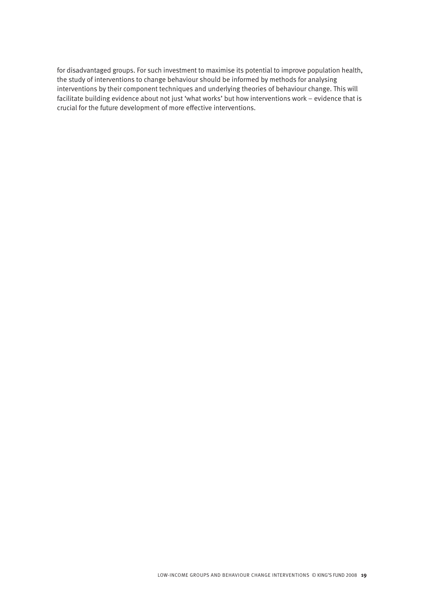for disadvantaged groups. For such investment to maximise its potential to improve population health, the study of interventions to change behaviour should be informed by methods for analysing interventions by their component techniques and underlying theories of behaviour change. This will facilitate building evidence about not just 'what works' but how interventions work – evidence that is crucial for the future development of more effective interventions.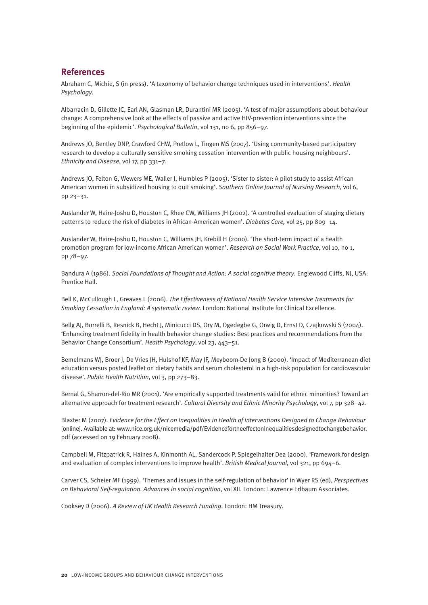# **References**

Abraham C, Michie, S (in press). 'A taxonomy of behavior change techniques used in interventions'. *Health Psychology*.

Albarracin D, Gillette JC, Earl AN, Glasman LR, Durantini MR (2005). 'A test of major assumptions about behaviour change: A comprehensive look at the effects of passive and active HIV-prevention interventions since the beginning of the epidemic'. *Psychological Bulletin*, vol 131, no 6, pp 856–97.

Andrews JO, Bentley DNP, Crawford CHW, Pretlow L, Tingen MS (2007). 'Using community-based participatory research to develop a culturally sensitive smoking cessation intervention with public housing neighbours'. *Ethnicity and Disease*, vol 17, pp 331–7.

Andrews JO, Felton G, Wewers ME, Waller J, Humbles P (2005). 'Sister to sister: A pilot study to assist African American women in subsidized housing to quit smoking'. *Southern Online Journal of Nursing Research*, vol 6, pp 23–31.

Auslander W, Haire-Joshu D, Houston C, Rhee CW, Williams JH (2002). 'A controlled evaluation of staging dietary patterns to reduce the risk of diabetes in African-American women'. *Diabetes Care,* vol 25, pp 809–14.

Auslander W, Haire-Joshu D, Houston C, Williams JH, Krebill H (2000). 'The short-term impact of a health promotion program for low-income African American women'. *Research on Social Work Practice*, vol 10, no 1, pp 78–97.

Bandura A (1986). *Social Foundations of Thought and Action: A social cognitive theory*. Englewood Cliffs, NJ, USA: Prentice Hall.

Bell K, McCullough L, Greaves L (2006). *The Effectiveness of National Health Service Intensive Treatments for Smoking Cessation in England: A systematic review.* London: National Institute for Clinical Excellence.

Bellg AJ, Borrelli B, Resnick B, Hecht J, Minicucci DS, Ory M, Ogedegbe G, Orwig D, Ernst D, Czajkowski S (2004). 'Enhancing treatment fidelity in health behavior change studies: Best practices and recommendations from the Behavior Change Consortium'. *Health Psychology*, vol 23, 443–51.

Bemelmans WJ, Broer J, De Vries JH, Hulshof KF, May JF, Meyboom-De Jong B (2000). 'Impact of Mediterranean diet education versus posted leaflet on dietary habits and serum cholesterol in a high-risk population for cardiovascular disease'. *Public Health Nutrition*, vol 3, pp 273–83.

Bernal G, Sharron-del-Rio MR (2001). 'Are empirically supported treatments valid for ethnic minorities? Toward an alternative approach for treatment research'. *Cultural Diversity and Ethnic Minority Psychology*, vol 7, pp 328–42.

Blaxter M (2007). *Evidence for the Effect on Inequalities in Health of Interventions Designed to Change Behaviour* [online]. Available at: www.nice.org.uk/nicemedia/pdf/EvidencefortheeffectonInequalitiesdesignedtochangebehavior. pdf (accessed on 19 February 2008).

Campbell M, Fitzpatrick R, Haines A, Kinmonth AL, Sandercock P, Spiegelhalter Dea (2000). 'Framework for design and evaluation of complex interventions to improve health'. *British Medical Journal*, vol 321, pp 694–6.

Carver CS, Scheier MF (1999). 'Themes and issues in the self-regulation of behavior' in Wyer RS (ed), *Perspectives on Behavioral Self-regulation. Advances in social cognition*, vol XII. London: Lawrence Erlbaum Associates.

Cooksey D (2006). *A Review of UK Health Research Funding*. London: HM Treasury.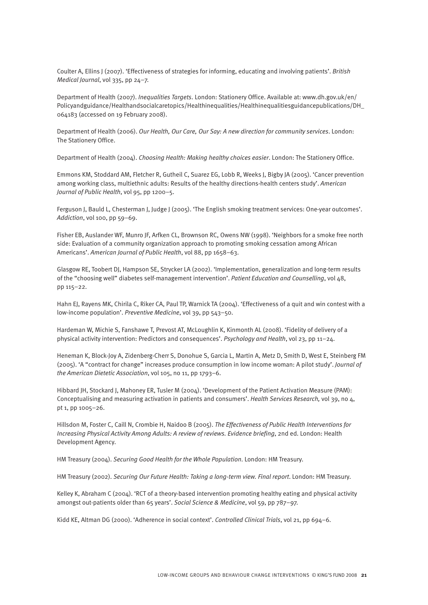Coulter A, Ellins J (2007). 'Effectiveness of strategies for informing, educating and involving patients'. *British Medical Journal*, vol 335, pp 24–7.

Department of Health (2007). *Inequalities Targets*. London: Stationery Office. Available at: www.dh.gov.uk/en/ Policyandguidance/Healthandsocialcaretopics/Healthinequalities/Healthinequalitiesguidancepublications/DH\_ 064183 (accessed on 19 February 2008).

Department of Health (2006). *Our Health, Our Care, Our Say: A new direction for community services*. London: The Stationery Office.

Department of Health (2004). *Choosing Health: Making healthy choices easier*. London: The Stationery Office.

Emmons KM, Stoddard AM, Fletcher R, Gutheil C, Suarez EG, Lobb R, Weeks J, Bigby JA (2005). 'Cancer prevention among working class, multiethnic adults: Results of the healthy directions-health centers study'. *American Journal of Public Health*, vol 95, pp 1200–5.

Ferguson J, Bauld L, Chesterman J, Judge J (2005). 'The English smoking treatment services: One-year outcomes'. *Addiction*, vol 100, pp 59–69.

Fisher EB, Auslander WF, Munro JF, Arfken CL, Brownson RC, Owens NW (1998). 'Neighbors for a smoke free north side: Evaluation of a community organization approach to promoting smoking cessation among African Americans'. *American Journal of Public Health*, vol 88, pp 1658–63.

Glasgow RE, Toobert DJ, Hampson SE, Strycker LA (2002). 'Implementation, generalization and long-term results of the "choosing well" diabetes self-management intervention'. *Patient Education and Counselling*, vol 48, pp 115–22.

Hahn EJ, Rayens MK, Chirila C, Riker CA, Paul TP, Warnick TA (2004). 'Effectiveness of a quit and win contest with a low-income population'. *Preventive Medicine*, vol 39, pp 543–50.

Hardeman W, Michie S, Fanshawe T, Prevost AT, McLoughlin K, Kinmonth AL (2008). 'Fidelity of delivery of a physical activity intervention: Predictors and consequences'. *Psychology and Health*, vol 23, pp 11–24.

Heneman K, Block-Joy A, Zidenberg-Cherr S, Donohue S, Garcia L, Martin A, Metz D, Smith D, West E, Steinberg FM (2005). 'A "contract for change" increases produce consumption in low income woman: A pilot study'. *Journal of the American Dietetic Association*, vol 105, no 11, pp 1793–6.

Hibbard JH, Stockard J, Mahoney ER, Tusler M (2004). 'Development of the Patient Activation Measure (PAM): Conceptualising and measuring activation in patients and consumers'. *Health Services Research,* vol 39, no 4, pt 1, pp 1005–26.

Hillsdon M, Foster C, Caill N, Crombie H, Naidoo B (2005). *The Effectiveness of Public Health Interventions for Increasing Physical Activity Among Adults: A review of reviews. Evidence briefing*, 2nd ed. London: Health Development Agency.

HM Treasury (2004). *Securing Good Health for the Whole Population*. London: HM Treasury.

HM Treasury (2002). *Securing Our Future Health: Taking a long-term view. Final report*. London: HM Treasury.

Kelley K, Abraham C (2004). 'RCT of a theory-based intervention promoting healthy eating and physical activity amongst out-patients older than 65 years'. *Social Science & Medicine*, vol 59, pp 787–97.

Kidd KE, Altman DG (2000). 'Adherence in social context'. *Controlled Clinical Trials*, vol 21, pp 694–6.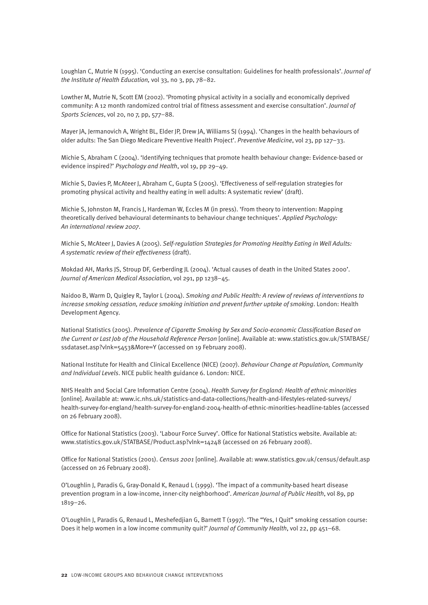Loughlan C, Mutrie N (1995). 'Conducting an exercise consultation: Guidelines for health professionals'. *Journal of the Institute of Health Education,* vol 33, no 3, pp, 78–82.

Lowther M, Mutrie N, Scott EM (2002). 'Promoting physical activity in a socially and economically deprived community: A 12 month randomized control trial of fitness assessment and exercise consultation'. *Journal of Sports Sciences*, vol 20, no 7, pp, 577–88.

Mayer JA, Jermanovich A, Wright BL, Elder JP, Drew JA, Williams SJ (1994). 'Changes in the health behaviours of older adults: The San Diego Medicare Preventive Health Project'. *Preventive Medicine*, vol 23, pp 127–33.

Michie S, Abraham C (2004). 'Identifying techniques that promote health behaviour change: Evidence-based or evidence inspired?' *Psychology and Health*, vol 19, pp 29–49.

Michie S, Davies P, McAteer J, Abraham C, Gupta S (2005). 'Effectiveness of self-regulation strategies for promoting physical activity and healthy eating in well adults: A systematic review' (draft).

Michie S, Johnston M, Francis J, Hardeman W, Eccles M (in press). 'From theory to intervention: Mapping theoretically derived behavioural determinants to behaviour change techniques'. *Applied Psychology: An international review 2007*.

Michie S, McAteer J, Davies A (2005). *Self-regulation Strategies for Promoting Healthy Eating in Well Adults: A systematic review of their effectiveness* (draft).

Mokdad AH, Marks JS, Stroup DF, Gerberding JL (2004). 'Actual causes of death in the United States 2000'. *Journal of American Medical Association*, vol 291, pp 1238–45.

Naidoo B, Warm D, Quigley R, Taylor L (2004). *Smoking and Public Health: A review of reviews of interventions to increase smoking cessation, reduce smoking initiation and prevent further uptake of smoking*. London: Health Development Agency.

National Statistics (2005). *Prevalence of Cigarette Smoking by Sex and Socio-economic Classification Based on the Current or Last Job of the Household Reference Person* [online]. Available at: www.statistics.gov.uk/STATBASE/ ssdataset.asp?vlnk=5453&More=Y (accessed on 19 February 2008).

National Institute for Health and Clinical Excellence (NICE) (2007). *Behaviour Change at Population, Community and Individual Levels*. NICE public health guidance 6. London: NICE.

NHS Health and Social Care Information Centre (2004). *Health Survey for England: Health of ethnic minorities* [online]. Available at: www.ic.nhs.uk/statistics-and-data-collections/health-and-lifestyles-related-surveys/ health-survey-for-england/health-survey-for-england-2004-health-of-ethnic-minorities-headline-tables (accessed on 26 February 2008).

Office for National Statistics (2003). 'Labour Force Survey'. Office for National Statistics website. Available at: www.statistics.gov.uk/STATBASE/Product.asp?vlnk=14248 (accessed on 26 February 2008).

Office for National Statistics (2001). *Census 2001* [online]. Available at: www.statistics.gov.uk/census/default.asp (accessed on 26 February 2008).

O'Loughlin J, Paradis G, Gray-Donald K, Renaud L (1999). 'The impact of a community-based heart disease prevention program in a low-income, inner-city neighborhood'. *American Journal of Public Health*, vol 89, pp 1819–26.

O'Loughlin J, Paradis G, Renaud L, Meshefedjian G, Barnett T (1997). 'The "Yes, I Quit" smoking cessation course: Does it help women in a low income community quit?' *Journal of Community Health*, vol 22, pp 451–68.